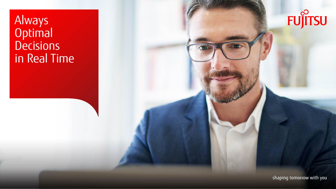Always Optimal **Decisions** in Real Time



shaping tomorrow with you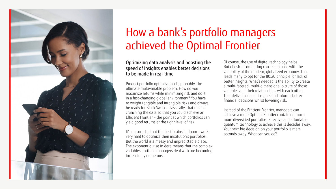

# How a bank's portfolio managers achieved the Optimal Frontier

#### Optimizing data analysis and boosting the speed of insights enables better decisions to be made in real-time

Product portfolio optimization is, probably, the ultimate multivariable problem. How do you maximize returns while minimizing risk and do it in a fast-changing global environment? You have to weight tangible and intangible risks and always be ready for Black Swans. Classically, that meant crunching the data so that you could achieve an Efficient Frontier – the point at which portfolios can yield good returns at the right level of risk.

It's no surprise that the best brains in finance work very hard to optimize their institution's portfolios. But the world is a messy and unpredictable place. The exponential rise in data means that the complex variables portfolio managers deal with are becoming increasingly numerous.

Of course, the use of digital technology helps. But classical computing can't keep pace with the variability of the modern, globalized economy. That leads many to opt for the 80:20 principle for lack of better insights. What's needed is the ability to create a multi-faceted, multi-dimensional picture of those variables and their relationships with each other. That delivers deeper insights and informs better financial decisions whilst lowering risk.

Instead of the Efficient Frontier, managers can achieve a more Optimal Frontier containing much more diversified portfolios. Effective and affordable quantum technology to achieve this is decades away. Your next big decision on your portfolio is mere seconds away. What can you do?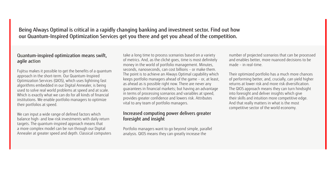# Being Always Optimal is critical in a rapidly changing banking and investment sector. Find out how our Quantum-Inspired Optimization Services get you there and get you ahead of the competition.

# Quantum-inspired optimization means swift, agile action

Fujitsu makes it possible to get the benefits of a quantum approach in the short-term. Our Quantum-Inspired Optimization Services (QIOS), which uses lightning fast algorithms embedded in our Digital Annealer, is being used to solve real world problems at speed and at scale. Which is exactly what we can do for all kinds of financial institutions. We enable portfolio managers to optimize their portfolios at speed.

We can input a wide range of defined factors which balance high- and low-risk investments with daily return targets. The quantum-inspired approach means that a more complex model can be run through our Digital Annealer at greater speed and depth. Classical computers

take a long time to process scenarios based on a variety of metrics. And, as the cliché goes, time is most definitely money in the world of portfolio management. Minutes, seconds, nanoseconds, can cost billions – or make them. The point is to achieve an Always Optimal capability which keeps portfolio managers ahead of the game – or, at least, as ahead as is possible right now. There are never any guarantees in financial markets; but having an advantage in terms of processing scenarios and variables at speed, provides greater confidence and lowers risk. Attributes vital to any team of portfolio managers.

## Increased computing power delivers greater foresight and insight

Portfolio managers want to go beyond simple, parallel analysis. QIOS means they can greatly increase the

number of projected scenarios that can be processed and enables better, more nuanced decisions to be made – in real-time.

Their optimized portfolio has a much more chances of performing better, and, crucially, can yield higher returns at lower risk and more risk diversification. The QIOS approach means they can turn hindsight into foresight and deliver insights which give their skills and intuition more competitive edge. And that really matters in what is the most competitive sector of the world economy.